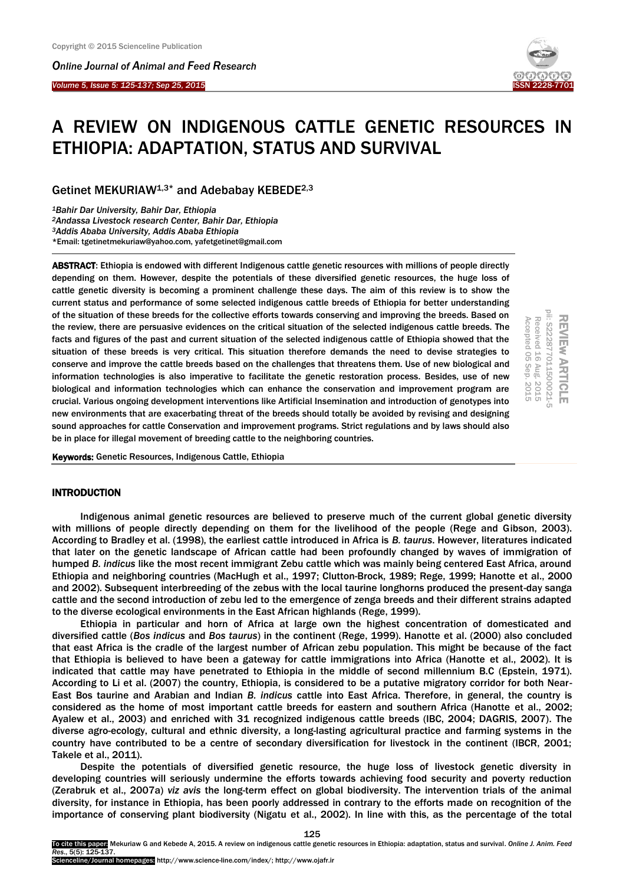*Online Journal of A[nimal and](http://www.ojafr.ir/main/) Feed Research*

*Volume 5, Issue 5: 125-137; Sep 25, 2015* I



# A REVIEW ON INDIGENOUS CATTLE GENETIC RESOURCES IN ETHIOPIA: ADAPTATION, STATUS AND SURVIVAL

Getinet MEKURIAW1,3\* and Adebabay KEBEDE2,3

*Bahir Dar University, Bahir Dar, Ethiopia Andassa Livestock research Center, Bahir Dar, Ethiopia Addis Ababa University, Addis Ababa Ethiopia* \*Email: tgetinetmekuriaw@yahoo.com, yafetgetinet@gmail.com

ABSTRACT: Ethiopia is endowed with different Indigenous cattle genetic resources with millions of people directly depending on them. However, despite the potentials of these diversified genetic resources, the huge loss of cattle genetic diversity is becoming a prominent challenge these days. The aim of this review is to show the current status and performance of some selected indigenous cattle breeds of Ethiopia for better understanding of the situation of these breeds for the collective efforts towards conserving and improving the breeds. Based on the review, there are persuasive evidences on the critical situation of the selected indigenous cattle breeds. The facts and figures of the past and current situation of the selected indigenous cattle of Ethiopia showed that the situation of these breeds is very critical. This situation therefore demands the need to devise strategies to conserve and improve the cattle breeds based on the challenges that threatens them. Use of new biological and information technologies is also imperative to facilitate the genetic restoration process. Besides, use of new biological and information technologies which can enhance the conservation and improvement program are crucial. Various ongoing development interventions like Artificial Insemination and introduction of genotypes into new environments that are exacerbating threat of the breeds should totally be avoided by revising and designing sound approaches for cattle Conservation and improvement programs. Strict regulations and by laws should also be in place for illegal movement of breeding cattle to the neighboring countries.

REVIEw ARTICLE<br>pii: S222877011500021-5 Received 16 Aug. 2015 Accepted 05 Sep. 2015 Accepted 05 Received Sep. 2015 Aug. 2015

Keywords: Genetic Resources, Indigenous Cattle, Ethiopia

## INTRODUCTION

Indigenous animal genetic resources are believed to preserve much of the current global genetic diversity with millions of people directly depending on them for the livelihood of the people (Rege and Gibson, 2003). According to Bradley et al. (1998), the earliest cattle introduced in Africa is *B. taurus*. However, literatures indicated that later on the genetic landscape of African cattle had been profoundly changed by waves of immigration of humped *B. indicus* like the most recent immigrant Zebu cattle which was mainly being centered East Africa, around Ethiopia and neighboring countries (MacHugh et al., 1997; Clutton-Brock, 1989; Rege, 1999; Hanotte et al., 2000 and 2002). Subsequent interbreeding of the zebus with the local taurine longhorns produced the present-day sanga cattle and the second introduction of zebu led to the emergence of zenga breeds and their different strains adapted to the diverse ecological environments in the East African highlands (Rege, 1999).

Ethiopia in particular and horn of Africa at large own the highest concentration of domesticated and diversified cattle (*Bos indicus* and *Bos taurus*) in the continent (Rege, 1999). Hanotte et al. (2000) also concluded that east Africa is the cradle of the largest number of African zebu population. This might be because of the fact that Ethiopia is believed to have been a gateway for cattle immigrations into Africa (Hanotte et al., 2002). It is indicated that cattle may have penetrated to Ethiopia in the middle of second millennium B.C (Epstein, 1971). According to Li et al. (2007) the country, Ethiopia, is considered to be a putative migratory corridor for both Near-East Bos taurine and Arabian and Indian *B. indicus* cattle into East Africa. Therefore, in general, the country is considered as the home of most important cattle breeds for eastern and southern Africa (Hanotte et al., 2002; Ayalew et al., 2003) and enriched with 31 recognized indigenous cattle breeds (IBC, 2004; DAGRIS, 2007). The diverse agro-ecology, cultural and ethnic diversity, a long-lasting agricultural practice and farming systems in the country have contributed to be a centre of secondary diversification for livestock in the continent (IBCR, 2001; Takele et al., 2011).

Despite the potentials of diversified genetic resource, the huge loss of livestock genetic diversity in developing countries will seriously undermine the efforts towards achieving food security and poverty reduction (Zerabruk et al., 2007a) *viz avis* the long-term effect on global biodiversity. The intervention trials of the animal diversity, for instance in Ethiopia, has been poorly addressed in contrary to the efforts made on recognition of the importance of conserving plant biodiversity (Nigatu et al., 2002). In line with this, as the percentage of the total

To cite this paper: Mekuriaw G and Kebede A, 2015. A review on indigenous cattle genetic resources in Ethiopia: adaptation, status and survival. *Online J. Anim. Feed Res*., 5(5): 125-137. Scienceline/Journal homepages: http://www.science-line.com/index/; http://www.ojafr.ir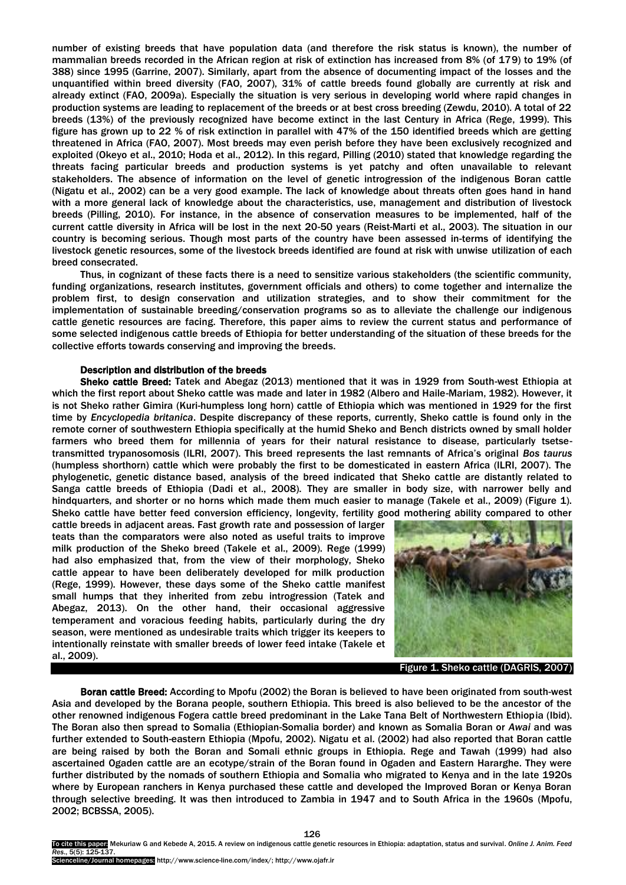number of existing breeds that have population data (and therefore the risk status is known), the number of mammalian breeds recorded in the African region at risk of extinction has increased from 8% (of 179) to 19% (of 388) since 1995 (Garrine, 2007). Similarly, apart from the absence of documenting impact of the losses and the unquantified within breed diversity (FAO, 2007), 31% of cattle breeds found globally are currently at risk and already extinct (FAO, 2009a). Especially the situation is very serious in developing world where rapid changes in production systems are leading to replacement of the breeds or at best cross breeding (Zewdu, 2010). A total of 22 breeds (13%) of the previously recognized have become extinct in the last Century in Africa (Rege, 1999). This figure has grown up to 22 % of risk extinction in parallel with 47% of the 150 identified breeds which are getting threatened in Africa (FAO, 2007). Most breeds may even perish before they have been exclusively recognized and exploited (Okeyo et al., 2010; Hoda et al., 2012). In this regard, Pilling (2010) stated that knowledge regarding the threats facing particular breeds and production systems is yet patchy and often unavailable to relevant stakeholders. The absence of information on the level of genetic introgression of the indigenous Boran cattle (Nigatu et al., 2002) can be a very good example. The lack of knowledge about threats often goes hand in hand with a more general lack of knowledge about the characteristics, use, management and distribution of livestock breeds (Pilling, 2010). For instance, in the absence of conservation measures to be implemented, half of the current cattle diversity in Africa will be lost in the next 20-50 years (Reist-Marti et al., 2003). The situation in our country is becoming serious. Though most parts of the country have been assessed in-terms of identifying the livestock genetic resources, some of the livestock breeds identified are found at risk with unwise utilization of each breed consecrated.

Thus, in cognizant of these facts there is a need to sensitize various stakeholders (the scientific community, funding organizations, research institutes, government officials and others) to come together and internalize the problem first, to design conservation and utilization strategies, and to show their commitment for the implementation of sustainable breeding/conservation programs so as to alleviate the challenge our indigenous cattle genetic resources are facing. Therefore, this paper aims to review the current status and performance of some selected indigenous cattle breeds of Ethiopia for better understanding of the situation of these breeds for the collective efforts towards conserving and improving the breeds.

#### Description and distribution of the breeds

Sheko cattle Breed: Tatek and Abegaz (2013) mentioned that it was in 1929 from South-west Ethiopia at which the first report about Sheko cattle was made and later in 1982 (Albero and Haile-Mariam, 1982). However, it is not Sheko rather Gimira (Kuri-humpless long horn) cattle of Ethiopia which was mentioned in 1929 for the first time by *Encyclopedia britanica*. Despite discrepancy of these reports, currently, Sheko cattle is found only in the remote corner of southwestern Ethiopia specifically at the humid Sheko and Bench districts owned by small holder farmers who breed them for millennia of years for their natural resistance to disease, particularly tsetsetransmitted trypanosomosis (ILRI, 2007). This breed represents the last remnants of Africa"s original *Bos taurus* (humpless shorthorn) cattle which were probably the first to be domesticated in eastern Africa (ILRI, 2007). The phylogenetic, genetic distance based, analysis of the breed indicated that Sheko cattle are distantly related to Sanga cattle breeds of Ethiopia (Dadi et al., 2008). They are smaller in body size, with narrower belly and hindquarters, and shorter or no horns which made them much easier to manage (Takele et al., 2009) (Figure 1). Sheko cattle have better feed conversion efficiency, longevity, fertility good mothering ability compared to other

cattle breeds in adjacent areas. Fast growth rate and possession of larger teats than the comparators were also noted as useful traits to improve milk production of the Sheko breed (Takele et al., 2009). Rege (1999) had also emphasized that, from the view of their morphology, Sheko cattle appear to have been deliberately developed for milk production (Rege, 1999). However, these days some of the Sheko cattle manifest small humps that they inherited from zebu introgression (Tatek and Abegaz, 2013). On the other hand, their occasional aggressive temperament and voracious feeding habits, particularly during the dry season, were mentioned as undesirable traits which trigger its keepers to intentionally reinstate with smaller breeds of lower feed intake (Takele et al., 2009).



Figure 1. Sheko cattle (DAGRIS, 2007)

Boran cattle Breed: According to Mpofu (2002) the Boran is believed to have been originated from south-west Asia and developed by the Borana people, southern Ethiopia. This breed is also believed to be the ancestor of the other renowned indigenous Fogera cattle breed predominant in the Lake Tana Belt of Northwestern Ethiopia (Ibid). The Boran also then spread to Somalia (Ethiopian-Somalia border) and known as Somalia Boran or *Awai* and was further extended to South-eastern Ethiopia (Mpofu, 2002). Nigatu et al. (2002) had also reported that Boran cattle are being raised by both the Boran and Somali ethnic groups in Ethiopia. Rege and Tawah (1999) had also ascertained Ogaden cattle are an ecotype/strain of the Boran found in Ogaden and Eastern Hararghe. They were further distributed by the nomads of southern Ethiopia and Somalia who migrated to Kenya and in the late 1920s where by European ranchers in Kenya purchased these cattle and developed the Improved Boran or Kenya Boran through selective breeding. It was then introduced to Zambia in 1947 and to South Africa in the 1960s (Mpofu, 2002; BCBSSA, 2005).

To cite this paper: Mekuriaw G and Kebede A, 2015. A review on indigenous cattle genetic resources in Ethiopia: adaptation, status and survival. *Online J. Anim. Feed Res*., 5(5): 125-137.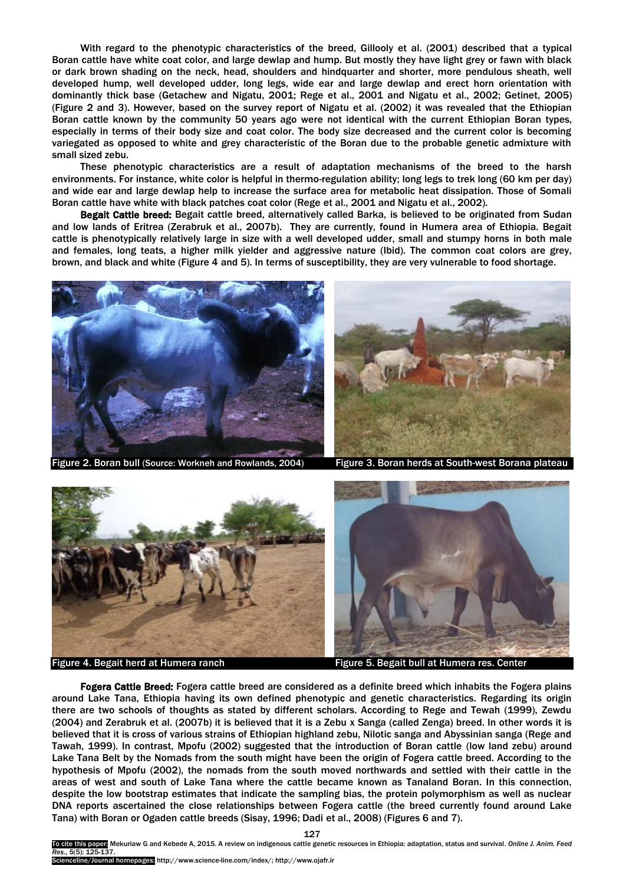With regard to the phenotypic characteristics of the breed, Gillooly et al. (2001) described that a typical Boran cattle have white coat color, and large dewlap and hump. But mostly they have light grey or fawn with black or dark brown shading on the neck, head, shoulders and hindquarter and shorter, more pendulous sheath, well developed hump, well developed udder, long legs, wide ear and large dewlap and erect horn orientation with dominantly thick base (Getachew and Nigatu, 2001; Rege et al., 2001 and Nigatu et al., 2002; Getinet, 2005) (Figure 2 and 3). However, based on the survey report of Nigatu et al. (2002) it was revealed that the Ethiopian Boran cattle known by the community 50 years ago were not identical with the current Ethiopian Boran types, especially in terms of their body size and coat color. The body size decreased and the current color is becoming variegated as opposed to white and grey characteristic of the Boran due to the probable genetic admixture with small sized zebu.

These phenotypic characteristics are a result of adaptation mechanisms of the breed to the harsh environments. For instance, white color is helpful in thermo-regulation ability; long legs to trek long (60 km per day) and wide ear and large dewlap help to increase the surface area for metabolic heat dissipation. Those of Somali Boran cattle have white with black patches coat color (Rege et al., 2001 and Nigatu et al., 2002).

Begait Cattle breed: Begait cattle breed, alternatively called Barka, is believed to be originated from Sudan and low lands of Eritrea (Zerabruk et al., 2007b). They are currently, found in Humera area of Ethiopia. Begait cattle is phenotypically relatively large in size with a well developed udder, small and stumpy horns in both male and females, long teats, a higher milk yielder and aggressive nature (Ibid). The common coat colors are grey, brown, and black and white (Figure 4 and 5). In terms of susceptibility, they are very vulnerable to food shortage.



Figure 2. Boran bull (Source: Workneh and Rowlands, 2004)



 $\overline{\phantom{a}}$ 

Figure 4. Begait herd at Humera ranch Figure 5. Begait bull at Humera res. Center

Fogera Cattle Breed: Fogera cattle breed are considered as a definite breed which inhabits the Fogera plains around Lake Tana, Ethiopia having its own defined phenotypic and genetic characteristics. Regarding its origin there are two schools of thoughts as stated by different scholars. According to Rege and Tewah (1999), Zewdu (2004) and Zerabruk et al. (2007b) it is believed that it is a Zebu x Sanga (called Zenga) breed. In other words it is believed that it is cross of various strains of Ethiopian highland zebu, Nilotic sanga and Abyssinian sanga (Rege and Tawah, 1999). In contrast, Mpofu (2002) suggested that the introduction of Boran cattle (low land zebu) around Lake Tana Belt by the Nomads from the south might have been the origin of Fogera cattle breed. According to the hypothesis of Mpofu (2002), the nomads from the south moved northwards and settled with their cattle in the areas of west and south of Lake Tana where the cattle became known as Tanaland Boran. In this connection, despite the low bootstrap estimates that indicate the sampling bias, the protein polymorphism as well as nuclear DNA reports ascertained the close relationships between Fogera cattle (the breed currently found around Lake Tana) with Boran or Ogaden cattle breeds (Sisay, 1996; Dadi et al., 2008) (Figures 6 and 7).

127 this paper: Mekuriaw G and Kebede A, 2015. A review on indigenous cattle genetic resources in Ethiopia: adaptation, status and survival. Online J. Anim. Feed *Res*., 5(5): 125-137.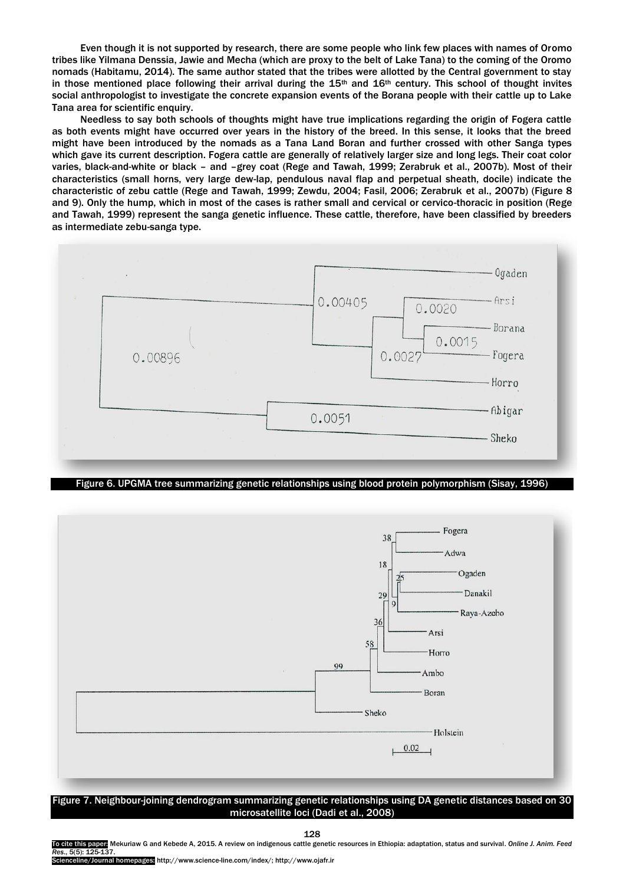Even though it is not supported by research, there are some people who link few places with names of Oromo tribes like Yilmana Denssia, Jawie and Mecha (which are proxy to the belt of Lake Tana) to the coming of the Oromo nomads (Habitamu, 2014). The same author stated that the tribes were allotted by the Central government to stay in those mentioned place following their arrival during the  $15<sup>th</sup>$  and  $16<sup>th</sup>$  century. This school of thought invites social anthropologist to investigate the concrete expansion events of the Borana people with their cattle up to Lake Tana area for scientific enquiry.

Needless to say both schools of thoughts might have true implications regarding the origin of Fogera cattle as both events might have occurred over years in the history of the breed. In this sense, it looks that the breed might have been introduced by the nomads as a Tana Land Boran and further crossed with other Sanga types which gave its current description. Fogera cattle are generally of relatively larger size and long legs. Their coat color varies, black-and-white or black – and –grey coat (Rege and Tawah, 1999; Zerabruk et al., 2007b). Most of their characteristics (small horns, very large dew-lap, pendulous naval flap and perpetual sheath, docile) indicate the characteristic of zebu cattle (Rege and Tawah, 1999; Zewdu, 2004; Fasil, 2006; Zerabruk et al., 2007b) (Figure 8 and 9). Only the hump, which in most of the cases is rather small and cervical or cervico-thoracic in position (Rege and Tawah, 1999) represent the sanga genetic influence. These cattle, therefore, have been classified by breeders as intermediate zebu-sanga type.



Figure 6. UPGMA tree summarizing genetic relationships using blood protein polymorphism (Sisay, 1996)



Figure 7. Neighbour-joining dendrogram summarizing genetic relationships using DA genetic distances based on 30 microsatellite loci (Dadi et al., 2008)

128

To cite this paper: Mekuriaw G and Kebede A, 2015. A review on indigenous cattle genetic resources in Ethiopia: adaptation, status and survival. *Online J. Anim. Feed Res*., 5(5): 125-137.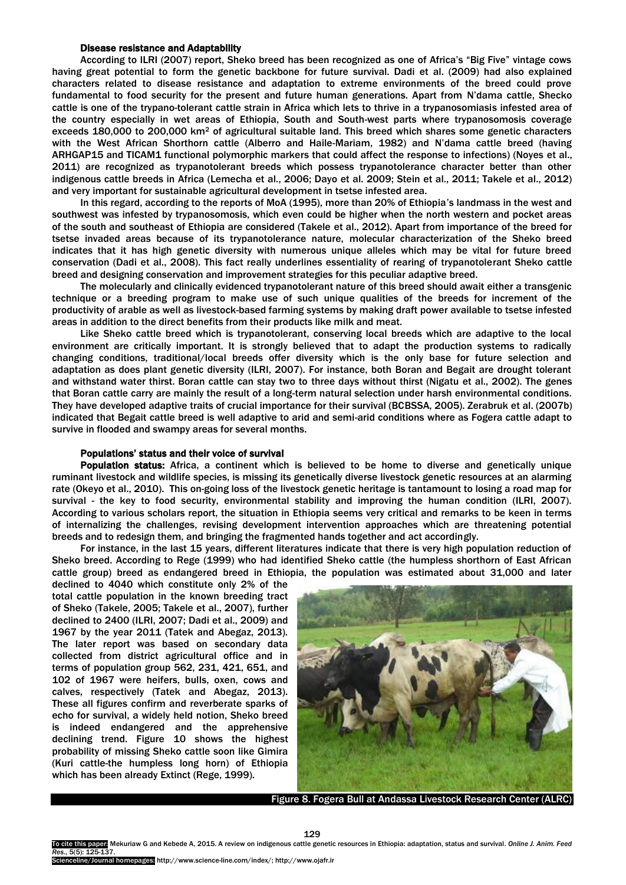## Disease resistance and Adaptability

According to ILRI (2007) report, Sheko breed has been recognized as one of Africa"s "Big Five" vintage cows having great potential to form the genetic backbone for future survival. Dadi et al. (2009) had also explained characters related to disease resistance and adaptation to extreme environments of the breed could prove fundamental to food security for the present and future human generations. Apart from N"dama cattle, Shecko cattle is one of the trypano-tolerant cattle strain in Africa which lets to thrive in a trypanosomiasis infested area of the country especially in wet areas of Ethiopia, South and South-west parts where trypanosomosis coverage exceeds 180,000 to 200,000 km<sup>2</sup> of agricultural suitable land. This breed which shares some genetic characters with the West African Shorthorn cattle (Alberro and Haile-Mariam, 1982) and N"dama cattle breed (having ARHGAP15 and TICAM1 functional polymorphic markers that could affect the response to infections) (Noyes et al., 2011) are recognized as trypanotolerant breeds which possess trypanotolerance character better than other indigenous cattle breeds in Africa (Lemecha et al., 2006; Dayo et al. 2009; Stein et al., 2011; Takele et al., 2012) and very important for sustainable agricultural development in tsetse infested area.

In this regard, according to the reports of MoA (1995), more than 20% of Ethiopia's landmass in the west and southwest was infested by trypanosomosis, which even could be higher when the north western and pocket areas of the south and southeast of Ethiopia are considered (Takele et al., 2012). Apart from importance of the breed for tsetse invaded areas because of its trypanotolerance nature, molecular characterization of the Sheko breed indicates that it has high genetic diversity with numerous unique alleles which may be vital for future breed conservation (Dadi et al., 2008). This fact really underlines essentiality of rearing of trypanotolerant Sheko cattle breed and designing conservation and improvement strategies for this peculiar adaptive breed.

The molecularly and clinically evidenced trypanotolerant nature of this breed should await either a transgenic technique or a breeding program to make use of such unique qualities of the breeds for increment of the productivity of arable as well as livestock-based farming systems by making draft power available to tsetse infested areas in addition to the direct benefits from their products like milk and meat.

Like Sheko cattle breed which is trypanotolerant, conserving local breeds which are adaptive to the local environment are critically important. It is strongly believed that to adapt the production systems to radically changing conditions, traditional/local breeds offer diversity which is the only base for future selection and adaptation as does plant genetic diversity (ILRI, 2007). For instance, both Boran and Begait are drought tolerant and withstand water thirst. Boran cattle can stay two to three days without thirst (Nigatu et al., 2002). The genes that Boran cattle carry are mainly the result of a long-term natural selection under harsh environmental conditions. They have developed adaptive traits of crucial importance for their survival (BCBSSA, 2005). Zerabruk et al. (2007b) indicated that Begait cattle breed is well adaptive to arid and semi-arid conditions where as Fogera cattle adapt to survive in flooded and swampy areas for several months.

## Populations" status and their voice of survival

Population status: Africa, a continent which is believed to be home to diverse and genetically unique ruminant livestock and wildlife species, is missing its genetically diverse livestock genetic resources at an alarming rate (Okeyo et al., 2010). This on-going loss of the livestock genetic heritage is tantamount to losing a road map for survival - the key to food security, environmental stability and improving the human condition (ILRI, 2007). According to various scholars report, the situation in Ethiopia seems very critical and remarks to be keen in terms of internalizing the challenges, revising development intervention approaches which are threatening potential breeds and to redesign them, and bringing the fragmented hands together and act accordingly.

For instance, in the last 15 years, different literatures indicate that there is very high population reduction of Sheko breed. According to Rege (1999) who had identified Sheko cattle (the humpless shorthorn of East African cattle group) breed as endangered breed in Ethiopia, the population was estimated about 31,000 and later

declined to 4040 which constitute only 2% of the total cattle population in the known breeding tract of Sheko (Takele, 2005; Takele et al., 2007), further declined to 2400 (ILRI, 2007; Dadi et al., 2009) and 1967 by the year 2011 (Tatek and Abegaz, 2013). The later report was based on secondary data collected from district agricultural office and in terms of population group 562, 231, 421, 651, and 102 of 1967 were heifers, bulls, oxen, cows and calves, respectively (Tatek and Abegaz, 2013). These all figures confirm and reverberate sparks of echo for survival, a widely held notion, Sheko breed is indeed endangered and the apprehensive declining trend. Figure 10 shows the highest probability of missing Sheko cattle soon like Gimira (Kuri cattle-the humpless long horn) of Ethiopia which has been already Extinct (Rege, 1999).



Figure 8. Fogera Bull at Andassa Livestock Research Center (ALRC)

celine/Journal homepages: http://www.science-line.com/index/; http://www.ojafr.ir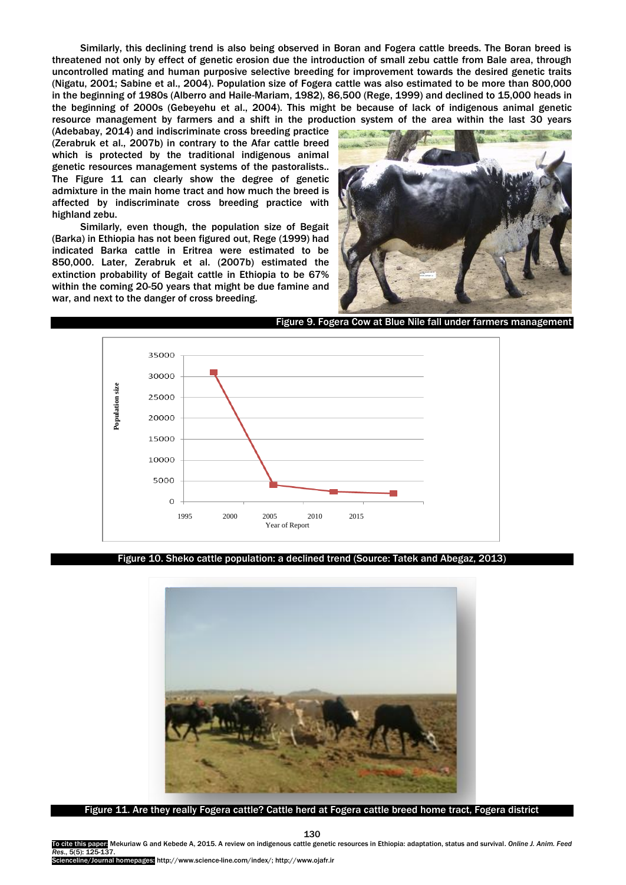Similarly, this declining trend is also being observed in Boran and Fogera cattle breeds. The Boran breed is threatened not only by effect of genetic erosion due the introduction of small zebu cattle from Bale area, through uncontrolled mating and human purposive selective breeding for improvement towards the desired genetic traits (Nigatu, 2001; Sabine et al., 2004). Population size of Fogera cattle was also estimated to be more than 800,000 in the beginning of 1980s (Alberro and Haile-Mariam, 1982), 86,500 (Rege, 1999) and declined to 15,000 heads in the beginning of 2000s (Gebeyehu et al., 2004). This might be because of lack of indigenous animal genetic resource management by farmers and a shift in the production system of the area within the last 30 years

(Adebabay, 2014) and indiscriminate cross breeding practice (Zerabruk et al., 2007b) in contrary to the Afar cattle breed which is protected by the traditional indigenous animal genetic resources management systems of the pastoralists.. The Figure 11 can clearly show the degree of genetic admixture in the main home tract and how much the breed is affected by indiscriminate cross breeding practice with highland zebu.

Similarly, even though, the population size of Begait (Barka) in Ethiopia has not been figured out, Rege (1999) had indicated Barka cattle in Eritrea were estimated to be 850,000. Later, Zerabruk et al. (2007b) estimated the extinction probability of Begait cattle in Ethiopia to be 67% within the coming 20-50 years that might be due famine and war, and next to the danger of cross breeding.



Figure 9. Fogera Cow at Blue Nile fall under farmers management



Figure 10. Sheko cattle population: a declined trend (Source: Tatek and Abegaz, 2013)



Figure 11. Are they really Fogera cattle? Cattle herd at Fogera cattle breed home tract, Fogera district

To cite this paper: Mekuriaw G and Kebede A, 2015. A review on indigenous cattle genetic resources in Ethiopia: adaptation, status and survival. *Online J. Anim. Feed Res*., 5(5): 125-137.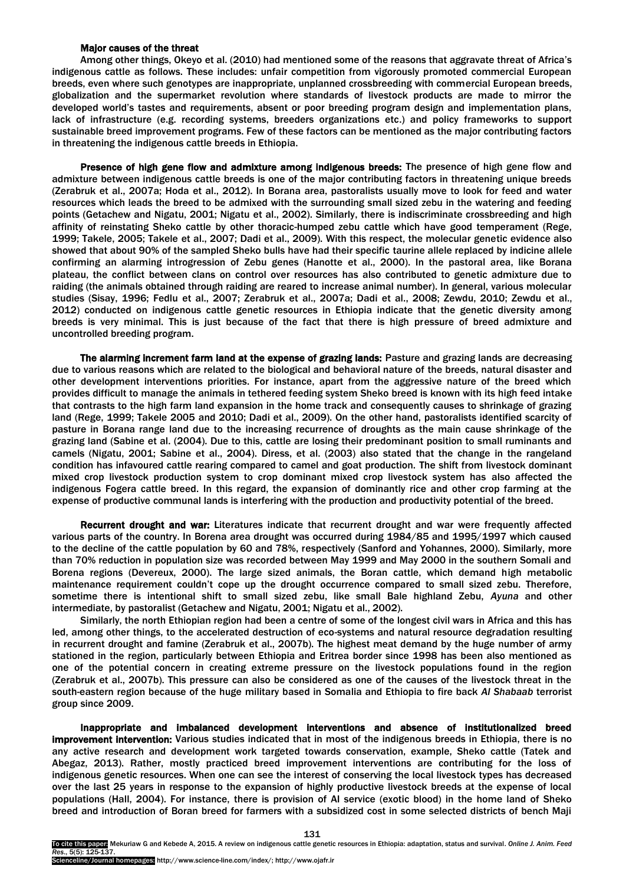## Major causes of the threat

Among other things, Okeyo et al. (2010) had mentioned some of the reasons that aggravate threat of Africa"s indigenous cattle as follows. These includes: unfair competition from vigorously promoted commercial European breeds, even where such genotypes are inappropriate, unplanned crossbreeding with commercial European breeds, globalization and the supermarket revolution where standards of livestock products are made to mirror the developed world"s tastes and requirements, absent or poor breeding program design and implementation plans, lack of infrastructure (e.g. recording systems, breeders organizations etc.) and policy frameworks to support sustainable breed improvement programs. Few of these factors can be mentioned as the major contributing factors in threatening the indigenous cattle breeds in Ethiopia.

Presence of high gene flow and admixture among indigenous breeds: The presence of high gene flow and admixture between indigenous cattle breeds is one of the major contributing factors in threatening unique breeds (Zerabruk et al., 2007a; Hoda et al., 2012). In Borana area, pastoralists usually move to look for feed and water resources which leads the breed to be admixed with the surrounding small sized zebu in the watering and feeding points (Getachew and Nigatu, 2001; Nigatu et al., 2002). Similarly, there is indiscriminate crossbreeding and high affinity of reinstating Sheko cattle by other thoracic-humped zebu cattle which have good temperament (Rege, 1999; Takele, 2005; Takele et al., 2007; Dadi et al., 2009). With this respect, the molecular genetic evidence also showed that about 90% of the sampled Sheko bulls have had their specific taurine allele replaced by indicine allele confirming an alarming introgression of Zebu genes (Hanotte et al., 2000). In the pastoral area, like Borana plateau, the conflict between clans on control over resources has also contributed to genetic admixture due to raiding (the animals obtained through raiding are reared to increase animal number). In general, various molecular studies (Sisay, 1996; Fedlu et al., 2007; Zerabruk et al., 2007a; Dadi et al., 2008; Zewdu, 2010; Zewdu et al., 2012) conducted on indigenous cattle genetic resources in Ethiopia indicate that the genetic diversity among breeds is very minimal. This is just because of the fact that there is high pressure of breed admixture and uncontrolled breeding program.

The alarming increment farm land at the expense of grazing lands: Pasture and grazing lands are decreasing due to various reasons which are related to the biological and behavioral nature of the breeds, natural disaster and other development interventions priorities. For instance, apart from the aggressive nature of the breed which provides difficult to manage the animals in tethered feeding system Sheko breed is known with its high feed intake that contrasts to the high farm land expansion in the home track and consequently causes to shrinkage of grazing land (Rege, 1999; Takele 2005 and 2010; Dadi et al., 2009). On the other hand, pastoralists identified scarcity of pasture in Borana range land due to the increasing recurrence of droughts as the main cause shrinkage of the grazing land (Sabine et al. (2004). Due to this, cattle are losing their predominant position to small ruminants and camels (Nigatu, 2001; Sabine et al., 2004). Diress, et al. (2003) also stated that the change in the rangeland condition has infavoured cattle rearing compared to camel and goat production. The shift from livestock dominant mixed crop livestock production system to crop dominant mixed crop livestock system has also affected the indigenous Fogera cattle breed. In this regard, the expansion of dominantly rice and other crop farming at the expense of productive communal lands is interfering with the production and productivity potential of the breed.

Recurrent drought and war: Literatures indicate that recurrent drought and war were frequently affected various parts of the country. In Borena area drought was occurred during 1984/85 and 1995/1997 which caused to the decline of the cattle population by 60 and 78%, respectively (Sanford and Yohannes, 2000). Similarly, more than 70% reduction in population size was recorded between May 1999 and May 2000 in the southern Somali and Borena regions (Devereux, 2000). The large sized animals, the Boran cattle, which demand high metabolic maintenance requirement couldn"t cope up the drought occurrence compared to small sized zebu. Therefore, sometime there is intentional shift to small sized zebu, like small Bale highland Zebu, *Ayuna* and other intermediate, by pastoralist (Getachew and Nigatu, 2001; Nigatu et al., 2002).

Similarly, the north Ethiopian region had been a centre of some of the longest civil wars in Africa and this has led, among other things, to the accelerated destruction of eco-systems and natural resource degradation resulting in recurrent drought and famine (Zerabruk et al., 2007b). The highest meat demand by the huge number of army stationed in the region, particularly between Ethiopia and Eritrea border since 1998 has been also mentioned as one of the potential concern in creating extreme pressure on the livestock populations found in the region (Zerabruk et al., 2007b). This pressure can also be considered as one of the causes of the livestock threat in the south-eastern region because of the huge military based in Somalia and Ethiopia to fire back *Al Shabaab* terrorist group since 2009.

Inappropriate and imbalanced development interventions and absence of institutionalized breed improvement intervention: Various studies indicated that in most of the indigenous breeds in Ethiopia, there is no any active research and development work targeted towards conservation, example, Sheko cattle (Tatek and Abegaz, 2013). Rather, mostly practiced breed improvement interventions are contributing for the loss of indigenous genetic resources. When one can see the interest of conserving the local livestock types has decreased over the last 25 years in response to the expansion of highly productive livestock breeds at the expense of local populations (Hall, 2004). For instance, there is provision of AI service (exotic blood) in the home land of Sheko breed and introduction of Boran breed for farmers with a subsidized cost in some selected districts of bench Maji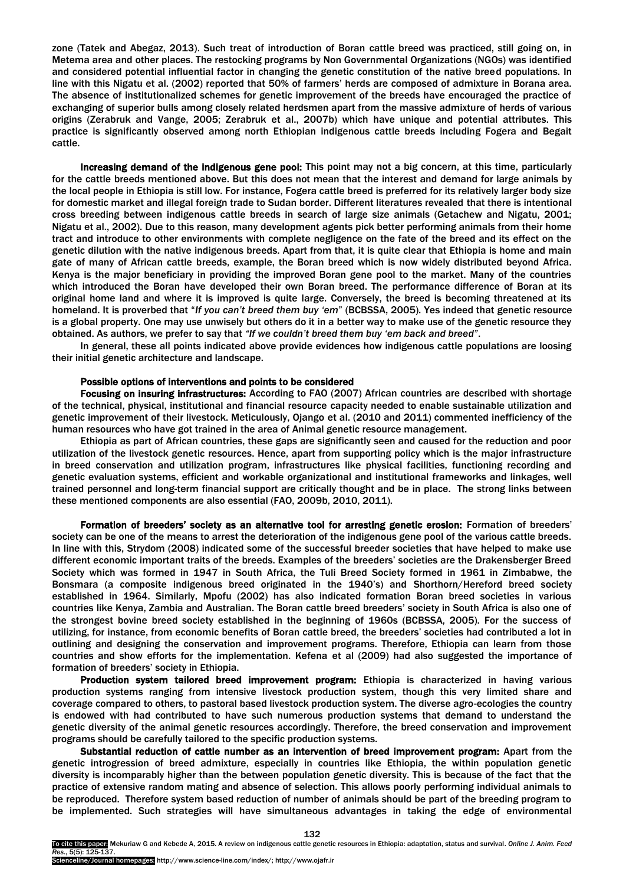zone (Tatek and Abegaz, 2013). Such treat of introduction of Boran cattle breed was practiced, still going on, in Metema area and other places. The restocking programs by Non Governmental Organizations (NGOs) was identified and considered potential influential factor in changing the genetic constitution of the native breed populations. In line with this Nigatu et al. (2002) reported that 50% of farmers" herds are composed of admixture in Borana area. The absence of institutionalized schemes for genetic improvement of the breeds have encouraged the practice of exchanging of superior bulls among closely related herdsmen apart from the massive admixture of herds of various origins (Zerabruk and Vange, 2005; Zerabruk et al., 2007b) which have unique and potential attributes. This practice is significantly observed among north Ethiopian indigenous cattle breeds including Fogera and Begait cattle.

Increasing demand of the indigenous gene pool: This point may not a big concern, at this time, particularly for the cattle breeds mentioned above. But this does not mean that the interest and demand for large animals by the local people in Ethiopia is still low. For instance, Fogera cattle breed is preferred for its relatively larger body size for domestic market and illegal foreign trade to Sudan border. Different literatures revealed that there is intentional cross breeding between indigenous cattle breeds in search of large size animals (Getachew and Nigatu, 2001; Nigatu et al., 2002). Due to this reason, many development agents pick better performing animals from their home tract and introduce to other environments with complete negligence on the fate of the breed and its effect on the genetic dilution with the native indigenous breeds. Apart from that, it is quite clear that Ethiopia is home and main gate of many of African cattle breeds, example, the Boran breed which is now widely distributed beyond Africa. Kenya is the major beneficiary in providing the improved Boran gene pool to the market. Many of the countries which introduced the Boran have developed their own Boran breed. The performance difference of Boran at its original home land and where it is improved is quite large. Conversely, the breed is becoming threatened at its homeland. It is proverbed that "*If you can"t breed them buy "em*" (BCBSSA, 2005). Yes indeed that genetic resource is a global property. One may use unwisely but others do it in a better way to make use of the genetic resource they obtained. As authors, we prefer to say that *"If we couldn"t breed them buy "em back and breed"*.

In general, these all points indicated above provide evidences how indigenous cattle populations are loosing their initial genetic architecture and landscape.

### Possible options of interventions and points to be considered

Focusing on insuring infrastructures: According to FAO (2007) African countries are described with shortage of the technical, physical, institutional and financial resource capacity needed to enable sustainable utilization and genetic improvement of their livestock. Meticulously, Ojango et al. (2010 and 2011) commented inefficiency of the human resources who have got trained in the area of Animal genetic resource management.

Ethiopia as part of African countries, these gaps are significantly seen and caused for the reduction and poor utilization of the livestock genetic resources. Hence, apart from supporting policy which is the major infrastructure in breed conservation and utilization program, infrastructures like physical facilities, functioning recording and genetic evaluation systems, efficient and workable organizational and institutional frameworks and linkages, well trained personnel and long-term financial support are critically thought and be in place. The strong links between these mentioned components are also essential (FAO, 2009b, 2010, 2011).

Formation of breeders" society as an alternative tool for arresting genetic erosion: Formation of breeders" society can be one of the means to arrest the deterioration of the indigenous gene pool of the various cattle breeds. In line with this, Strydom (2008) indicated some of the successful breeder societies that have helped to make use different economic important traits of the breeds. Examples of the breeders" societies are the Drakensberger Breed Society which was formed in 1947 in South Africa, the Tuli Breed Society formed in 1961 in Zimbabwe, the Bonsmara (a composite indigenous breed originated in the 1940"s) and Shorthorn/Hereford breed society established in 1964. Similarly, Mpofu (2002) has also indicated formation Boran breed societies in various countries like Kenya, Zambia and Australian. The Boran cattle breed breeders" society in South Africa is also one of the strongest bovine breed society established in the beginning of 1960s (BCBSSA, 2005). For the success of utilizing, for instance, from economic benefits of Boran cattle breed, the breeders" societies had contributed a lot in outlining and designing the conservation and improvement programs. Therefore, Ethiopia can learn from those countries and show efforts for the implementation. Kefena et al (2009) had also suggested the importance of formation of breeders' society in Ethiopia.

Production system tailored breed improvement program: Ethiopia is characterized in having various production systems ranging from intensive livestock production system, though this very limited share and coverage compared to others, to pastoral based livestock production system. The diverse agro-ecologies the country is endowed with had contributed to have such numerous production systems that demand to understand the genetic diversity of the animal genetic resources accordingly. Therefore, the breed conservation and improvement programs should be carefully tailored to the specific production systems.

Substantial reduction of cattle number as an intervention of breed improvement program: Apart from the genetic introgression of breed admixture, especially in countries like Ethiopia, the within population genetic diversity is incomparably higher than the between population genetic diversity. This is because of the fact that the practice of extensive random mating and absence of selection. This allows poorly performing individual animals to be reproduced. Therefore system based reduction of number of animals should be part of the breeding program to be implemented. Such strategies will have simultaneous advantages in taking the edge of environmental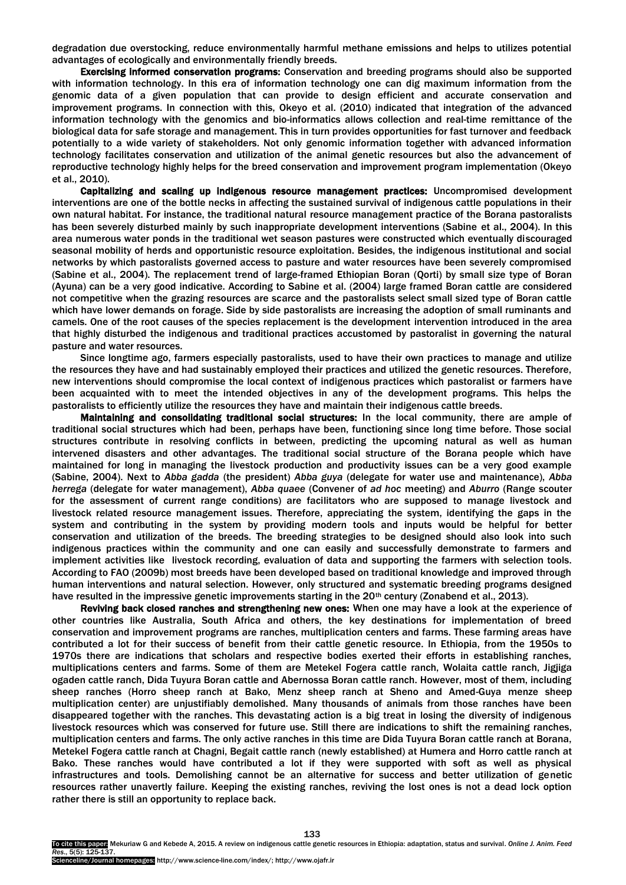degradation due overstocking, reduce environmentally harmful methane emissions and helps to utilizes potential advantages of ecologically and environmentally friendly breeds.

Exercising informed conservation programs: Conservation and breeding programs should also be supported with information technology. In this era of information technology one can dig maximum information from the genomic data of a given population that can provide to design efficient and accurate conservation and improvement programs. In connection with this, Okeyo et al. (2010) indicated that integration of the advanced information technology with the genomics and bio-informatics allows collection and real-time remittance of the biological data for safe storage and management. This in turn provides opportunities for fast turnover and feedback potentially to a wide variety of stakeholders. Not only genomic information together with advanced information technology facilitates conservation and utilization of the animal genetic resources but also the advancement of reproductive technology highly helps for the breed conservation and improvement program implementation (Okeyo et al., 2010).

Capitalizing and scaling up indigenous resource management practices: Uncompromised development interventions are one of the bottle necks in affecting the sustained survival of indigenous cattle populations in their own natural habitat. For instance, the traditional natural resource management practice of the Borana pastoralists has been severely disturbed mainly by such inappropriate development interventions (Sabine et al., 2004). In this area numerous water ponds in the traditional wet season pastures were constructed which eventually discouraged seasonal mobility of herds and opportunistic resource exploitation. Besides, the indigenous institutional and social networks by which pastoralists governed access to pasture and water resources have been severely compromised (Sabine et al., 2004). The replacement trend of large-framed Ethiopian Boran (Qorti) by small size type of Boran (Ayuna) can be a very good indicative. According to Sabine et al. (2004) large framed Boran cattle are considered not competitive when the grazing resources are scarce and the pastoralists select small sized type of Boran cattle which have lower demands on forage. Side by side pastoralists are increasing the adoption of small ruminants and camels. One of the root causes of the species replacement is the development intervention introduced in the area that highly disturbed the indigenous and traditional practices accustomed by pastoralist in governing the natural pasture and water resources.

Since longtime ago, farmers especially pastoralists, used to have their own practices to manage and utilize the resources they have and had sustainably employed their practices and utilized the genetic resources. Therefore, new interventions should compromise the local context of indigenous practices which pastoralist or farmers have been acquainted with to meet the intended objectives in any of the development programs. This helps the pastoralists to efficiently utilize the resources they have and maintain their indigenous cattle breeds.

Maintaining and consolidating traditional social structures: In the local community, there are ample of traditional social structures which had been, perhaps have been, functioning since long time before. Those social structures contribute in resolving conflicts in between, predicting the upcoming natural as well as human intervened disasters and other advantages. The traditional social structure of the Borana people which have maintained for long in managing the livestock production and productivity issues can be a very good example (Sabine, 2004). Next to *Abba gadda* (the president) *Abba guya* (delegate for water use and maintenance), *Abba herrega* (delegate for water management), *Abba quaee* (Convener of *ad hoc* meeting) and *Aburro* (Range scouter for the assessment of current range conditions) are facilitators who are supposed to manage livestock and livestock related resource management issues. Therefore, appreciating the system, identifying the gaps in the system and contributing in the system by providing modern tools and inputs would be helpful for better conservation and utilization of the breeds. The breeding strategies to be designed should also look into such indigenous practices within the community and one can easily and successfully demonstrate to farmers and implement activities like livestock recording, evaluation of data and supporting the farmers with selection tools. According to FAO (2009b) most breeds have been developed based on traditional knowledge and improved through human interventions and natural selection. However, only structured and systematic breeding programs designed have resulted in the impressive genetic improvements starting in the 20<sup>th</sup> century (Zonabend et al., 2013).

Reviving back closed ranches and strengthening new ones: When one may have a look at the experience of other countries like Australia, South Africa and others, the key destinations for implementation of breed conservation and improvement programs are ranches, multiplication centers and farms. These farming areas have contributed a lot for their success of benefit from their cattle genetic resource. In Ethiopia, from the 1950s to 1970s there are indications that scholars and respective bodies exerted their efforts in establishing ranches, multiplications centers and farms. Some of them are Metekel Fogera cattle ranch, Wolaita cattle ranch, Jigjiga ogaden cattle ranch, Dida Tuyura Boran cattle and Abernossa Boran cattle ranch. However, most of them, including sheep ranches (Horro sheep ranch at Bako, Menz sheep ranch at Sheno and Amed-Guya menze sheep multiplication center) are unjustifiably demolished. Many thousands of animals from those ranches have been disappeared together with the ranches. This devastating action is a big treat in losing the diversity of indigenous livestock resources which was conserved for future use. Still there are indications to shift the remaining ranches, multiplication centers and farms. The only active ranches in this time are Dida Tuyura Boran cattle ranch at Borana, Metekel Fogera cattle ranch at Chagni, Begait cattle ranch (newly established) at Humera and Horro cattle ranch at Bako. These ranches would have contributed a lot if they were supported with soft as well as physical infrastructures and tools. Demolishing cannot be an alternative for success and better utilization of genetic resources rather unavertly failure. Keeping the existing ranches, reviving the lost ones is not a dead lock option rather there is still an opportunity to replace back.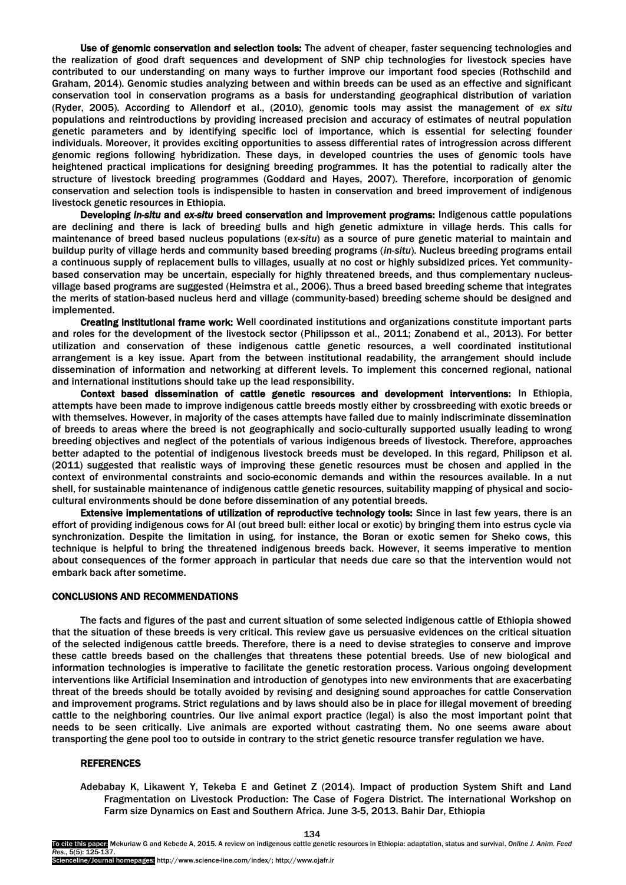Use of genomic conservation and selection tools: The advent of cheaper, faster sequencing technologies and the realization of good draft sequences and development of SNP chip technologies for livestock species have contributed to our understanding on many ways to further improve our important food species (Rothschild and Graham, 2014). Genomic studies analyzing between and within breeds can be used as an effective and significant conservation tool in conservation programs as a basis for understanding geographical distribution of variation (Ryder, 2005). According to Allendorf et al., (2010), genomic tools may assist the management of *ex situ* populations and reintroductions by providing increased precision and accuracy of estimates of neutral population genetic parameters and by identifying specific loci of importance, which is essential for selecting founder individuals. Moreover, it provides exciting opportunities to assess differential rates of introgression across different genomic regions following hybridization. These days, in developed countries the uses of genomic tools have heightened practical implications for designing breeding programmes. It has the potential to radically alter the structure of livestock breeding programmes (Goddard and Hayes, 2007). Therefore, incorporation of genomic conservation and selection tools is indispensible to hasten in conservation and breed improvement of indigenous livestock genetic resources in Ethiopia.

Developing *in-situ* and *ex-situ* breed conservation and improvement programs: Indigenous cattle populations are declining and there is lack of breeding bulls and high genetic admixture in village herds. This calls for maintenance of breed based nucleus populations (e*x-situ*) as a source of pure genetic material to maintain and buildup purity of village herds and community based breeding programs (*in-situ*). Nucleus breeding programs entail a continuous supply of replacement bulls to villages, usually at no cost or highly subsidized prices. Yet communitybased conservation may be uncertain, especially for highly threatened breeds, and thus complementary nucleusvillage based programs are suggested (Heimstra et al., 2006). Thus a breed based breeding scheme that integrates the merits of station-based nucleus herd and village (community-based) breeding scheme should be designed and implemented.

Creating institutional frame work: Well coordinated institutions and organizations constitute important parts and roles for the development of the livestock sector (Philipsson et al., 2011; Zonabend et al., 2013). For better utilization and conservation of these indigenous cattle genetic resources, a well coordinated institutional arrangement is a key issue. Apart from the between institutional readability, the arrangement should include dissemination of information and networking at different levels. To implement this concerned regional, national and international institutions should take up the lead responsibility.

Context based dissemination of cattle genetic resources and development interventions: In Ethiopia, attempts have been made to improve indigenous cattle breeds mostly either by crossbreeding with exotic breeds or with themselves. However, in majority of the cases attempts have failed due to mainly indiscriminate dissemination of breeds to areas where the breed is not geographically and socio-culturally supported usually leading to wrong breeding objectives and neglect of the potentials of various indigenous breeds of livestock. Therefore, approaches better adapted to the potential of indigenous livestock breeds must be developed. In this regard, Philipson et al. (2011) suggested that realistic ways of improving these genetic resources must be chosen and applied in the context of environmental constraints and socio-economic demands and within the resources available. In a nut shell, for sustainable maintenance of indigenous cattle genetic resources, suitability mapping of physical and sociocultural environments should be done before dissemination of any potential breeds.

Extensive implementations of utilization of reproductive technology tools: Since in last few years, there is an effort of providing indigenous cows for AI (out breed bull: either local or exotic) by bringing them into estrus cycle via synchronization. Despite the limitation in using, for instance, the Boran or exotic semen for Sheko cows, this technique is helpful to bring the threatened indigenous breeds back. However, it seems imperative to mention about consequences of the former approach in particular that needs due care so that the intervention would not embark back after sometime.

# CONCLUSIONS AND RECOMMENDATIONS

The facts and figures of the past and current situation of some selected indigenous cattle of Ethiopia showed that the situation of these breeds is very critical. This review gave us persuasive evidences on the critical situation of the selected indigenous cattle breeds. Therefore, there is a need to devise strategies to conserve and improve these cattle breeds based on the challenges that threatens these potential breeds. Use of new biological and information technologies is imperative to facilitate the genetic restoration process. Various ongoing development interventions like Artificial Insemination and introduction of genotypes into new environments that are exacerbating threat of the breeds should be totally avoided by revising and designing sound approaches for cattle Conservation and improvement programs. Strict regulations and by laws should also be in place for illegal movement of breeding cattle to the neighboring countries. Our live animal export practice (legal) is also the most important point that needs to be seen critically. Live animals are exported without castrating them. No one seems aware about transporting the gene pool too to outside in contrary to the strict genetic resource transfer regulation we have.

## **REFERENCES**

Adebabay K, Likawent Y, Tekeba E and Getinet Z (2014). Impact of production System Shift and Land Fragmentation on Livestock Production: The Case of Fogera District. The international Workshop on Farm size Dynamics on East and Southern Africa. June 3-5, 2013. Bahir Dar, Ethiopia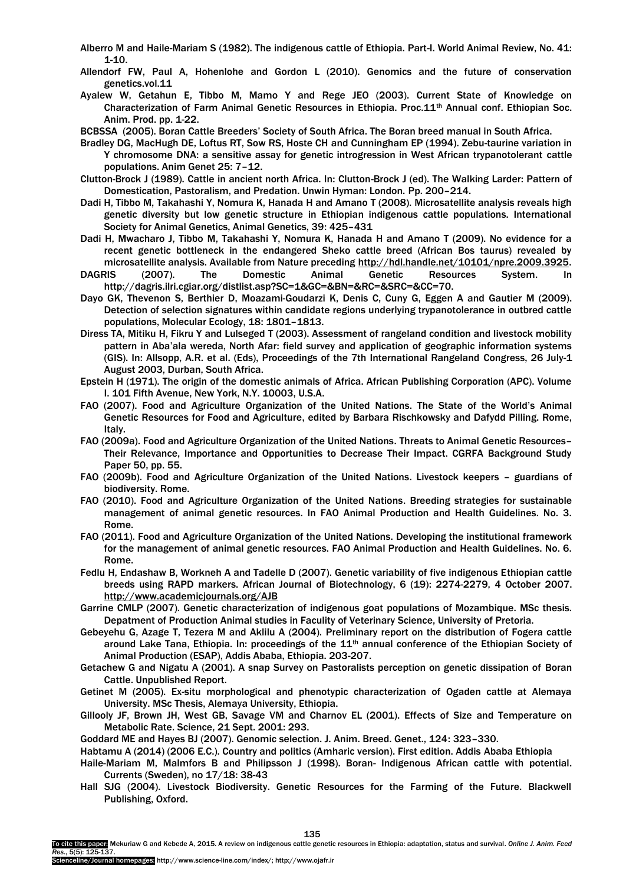- Alberro M and Haile-Mariam S (1982). The indigenous cattle of Ethiopia. Part-I. World Animal Review, No. 41:  $1 - 10$ .
- Allendorf FW, Paul A, Hohenlohe and Gordon L (2010). Genomics and the future of conservation genetics.vol.11
- Ayalew W, Getahun E, Tibbo M, Mamo Y and Rege JEO (2003). Current State of Knowledge on Characterization of Farm Animal Genetic Resources in Ethiopia. Proc.11<sup>th</sup> Annual conf. Ethiopian Soc. Anim. Prod. pp. 1-22.

BCBSSA (2005). Boran Cattle Breeders" Society of South Africa. The Boran breed manual in South Africa.

- Bradley DG, MacHugh DE, Loftus RT, Sow RS, Hoste CH and Cunningham EP (1994). Zebu-taurine variation in Y chromosome DNA: a sensitive assay for genetic introgression in West African trypanotolerant cattle populations. Anim Genet 25: 7–12.
- Clutton-Brock J (1989). Cattle in ancient north Africa. In: Clutton-Brock J (ed). The Walking Larder: Pattern of Domestication, Pastoralism, and Predation. Unwin Hyman: London. Pp. 200–214.
- Dadi H, Tibbo M, Takahashi Y, Nomura K, Hanada H and Amano T (2008). Microsatellite analysis reveals high genetic diversity but low genetic structure in Ethiopian indigenous cattle populations. International Society for Animal Genetics, Animal Genetics, 39: 425–431
- Dadi H, Mwacharo J, Tibbo M, Takahashi Y, Nomura K, Hanada H and Amano T (2009). No evidence for a recent genetic bottleneck in the endangered Sheko cattle breed (African Bos taurus) revealed by microsatellite analysis. Available from Nature precedin[g http://hdl.handle.net/10101/npre.2009.3925.](http://hdl.handle.net/10101/npre.2009.3925)
- DAGRIS (2007). The Domestic Animal Genetic Resources System. In http://dagris.ilri.cgiar.org/distlist.asp?SC=1&GC=&BN=&RC=&SRC=&CC=70.
- Dayo GK, Thevenon S, Berthier D, Moazami-Goudarzi K, Denis C, Cuny G, Eggen A and Gautier M (2009). Detection of selection signatures within candidate regions underlying trypanotolerance in outbred cattle populations, Molecular Ecology, 18: 1801–1813.
- Diress TA, Mitiku H, Fikru Y and Lulseged T (2003). Assessment of rangeland condition and livestock mobility pattern in Aba"ala wereda, North Afar: field survey and application of geographic information systems (GIS). In: Allsopp, A.R. et al. (Eds), Proceedings of the 7th International Rangeland Congress, 26 July-1 August 2003, Durban, South Africa.
- Epstein H (1971). The origin of the domestic animals of Africa. African Publishing Corporation (APC). Volume I. 101 Fifth Avenue, New York, N.Y. 10003, U.S.A.
- FAO (2007). Food and Agriculture Organization of the United Nations. The State of the World"s Animal Genetic Resources for Food and Agriculture, edited by Barbara Rischkowsky and Dafydd Pilling. Rome, Italy.
- FAO (2009a). Food and Agriculture Organization of the United Nations. Threats to Animal Genetic Resources– Their Relevance, Importance and Opportunities to Decrease Their Impact. CGRFA Background Study Paper 50, pp. 55.
- FAO (2009b). Food and Agriculture Organization of the United Nations. Livestock keepers guardians of biodiversity. Rome.
- FAO (2010). Food and Agriculture Organization of the United Nations. Breeding strategies for sustainable management of animal genetic resources. In FAO Animal Production and Health Guidelines. No. 3. Rome.
- FAO (2011). Food and Agriculture Organization of the United Nations. Developing the institutional framework for the management of animal genetic resources. FAO Animal Production and Health Guidelines. No. 6. Rome.
- Fedlu H, Endashaw B, Workneh A and Tadelle D (2007). Genetic variability of five indigenous Ethiopian cattle breeds using RAPD markers. African Journal of Biotechnology, 6 (19): 2274-2279, 4 October 2007. <http://www.academicjournals.org/AJB>
- Garrine CMLP (2007). Genetic characterization of indigenous goat populations of Mozambique. MSc thesis. Depatment of Production Animal studies in Faculity of Veterinary Science, University of Pretoria.
- Gebeyehu G, Azage T, Tezera M and Aklilu A (2004). Preliminary report on the distribution of Fogera cattle around Lake Tana, Ethiopia. In: proceedings of the 11<sup>th</sup> annual conference of the Ethiopian Society of Animal Production (ESAP), Addis Ababa, Ethiopia. 203-207.
- Getachew G and Nigatu A (2001). A snap Survey on Pastoralists perception on genetic dissipation of Boran Cattle. Unpublished Report.
- Getinet M (2005). Ex-situ morphological and phenotypic characterization of Ogaden cattle at Alemaya University. MSc Thesis, Alemaya University, Ethiopia.
- Gillooly JF, Brown JH, West GB, Savage VM and Charnov EL (2001). Effects of Size and Temperature on Metabolic Rate. Science, 21 Sept. 2001: 293.

Goddard ME and Hayes BJ (2007). Genomic selection. J. Anim. Breed. Genet., 124: 323–330.

- Habtamu A (2014) (2006 E.C.). Country and politics (Amharic version). First edition. Addis Ababa Ethiopia
- Haile-Mariam M, Malmfors B and Philipsson J (1998). Boran- Indigenous African cattle with potential. Currents (Sweden), no 17/18: 38-43
- Hall SJG (2004). Livestock Biodiversity. Genetic Resources for the Farming of the Future. Blackwell Publishing, Oxford.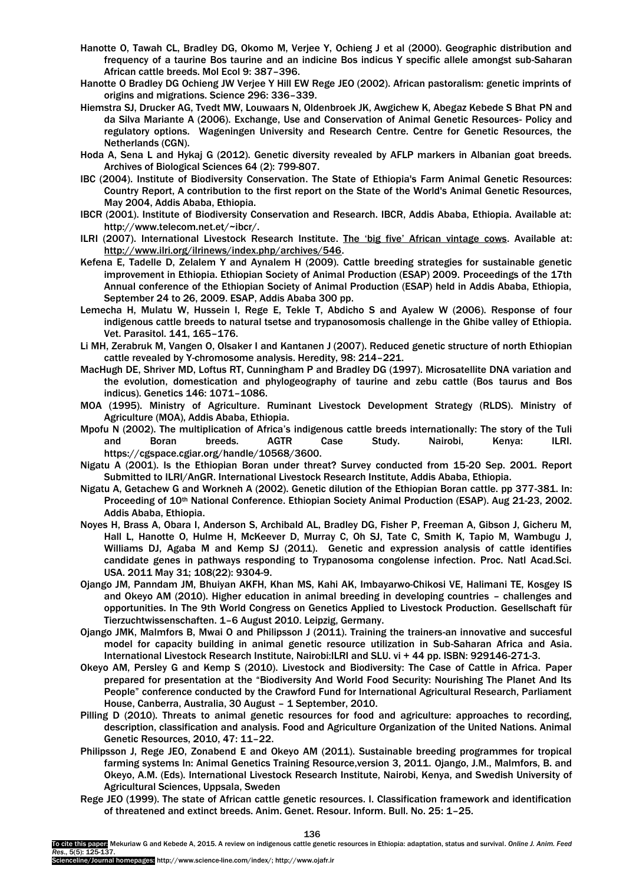- Hanotte O, Tawah CL, Bradley DG, Okomo M, Verjee Y, Ochieng J et al (2000). Geographic distribution and frequency of a taurine Bos taurine and an indicine Bos indicus Y specific allele amongst sub-Saharan African cattle breeds. Mol Ecol 9: 387–396.
- Hanotte O Bradley DG Ochieng JW Verjee Y Hill EW Rege JEO (2002). African pastoralism: genetic imprints of origins and migrations. Science 296: 336–339.
- Hiemstra SJ, Drucker AG, Tvedt MW, Louwaars N, Oldenbroek JK, Awgichew K, Abegaz Kebede S Bhat PN and da Silva Mariante A (2006). Exchange, Use and Conservation of Animal Genetic Resources- Policy and regulatory options. Wageningen University and Research Centre. Centre for Genetic Resources, the Netherlands (CGN).
- Hoda A, Sena L and Hykaj G (2012). Genetic diversity revealed by AFLP markers in Albanian goat breeds. Archives of Biological Sciences 64 (2): 799-807.
- IBC (2004). Institute of Biodiversity Conservation. The State of Ethiopia's Farm Animal Genetic Resources: Country Report, A contribution to the first report on the State of the World's Animal Genetic Resources, May 2004, Addis Ababa, Ethiopia.
- IBCR (2001). Institute of Biodiversity Conservation and Research. IBCR, Addis Ababa, Ethiopia. Available at: http://www.telecom.net.et/~ibcr/.
- ILRI (2007). International Livestock Research Institute. The 'big five' African vintage cows. Available at: [http://www.ilri.org/ilrinews/index.php/archives/546.](http://www.ilri.org/ilrinews/index.php/archives/546)
- Kefena E, Tadelle D, Zelalem Y and Aynalem H (2009). Cattle breeding strategies for sustainable genetic improvement in Ethiopia. Ethiopian Society of Animal Production (ESAP) 2009. Proceedings of the 17th Annual conference of the Ethiopian Society of Animal Production (ESAP) held in Addis Ababa, Ethiopia, September 24 to 26, 2009. ESAP, Addis Ababa 300 pp.
- Lemecha H, Mulatu W, Hussein I, Rege E, Tekle T, Abdicho S and Ayalew W (2006). Response of four indigenous cattle breeds to natural tsetse and trypanosomosis challenge in the Ghibe valley of Ethiopia. Vet. Parasitol. 141, 165–176.
- Li MH, Zerabruk M, Vangen O, Olsaker I and Kantanen J (2007). Reduced genetic structure of north Ethiopian cattle revealed by Y-chromosome analysis. Heredity, 98: 214–221.
- MacHugh DE, Shriver MD, Loftus RT, Cunningham P and Bradley DG (1997). Microsatellite DNA variation and the evolution, domestication and phylogeography of taurine and zebu cattle (Bos taurus and Bos indicus). Genetics 146: 1071–1086.
- MOA (1995). Ministry of Agriculture. Ruminant Livestock Development Strategy (RLDS). Ministry of Agriculture (MOA), Addis Ababa, Ethiopia.
- Mpofu N (2002). The multiplication of Africa"s indigenous cattle breeds internationally: The story of the Tuli and Boran breeds. AGTR Case Study. Nairobi, Kenya: ILRI. https://cgspace.cgiar.org/handle/10568/3600.
- Nigatu A (2001). Is the Ethiopian Boran under threat? Survey conducted from 15-20 Sep. 2001. Report Submitted to ILRI/AnGR. International Livestock Research Institute, Addis Ababa, Ethiopia.
- Nigatu A, Getachew G and Workneh A (2002). Genetic dilution of the Ethiopian Boran cattle. pp 377-381. In: Proceeding of 10<sup>th</sup> National Conference. Ethiopian Society Animal Production (ESAP). Aug 21-23, 2002. Addis Ababa, Ethiopia.
- Noyes H, Brass A, Obara I, Anderson S, Archibald AL, Bradley DG, Fisher P, Freeman A, Gibson J, Gicheru M, Hall L, Hanotte O, Hulme H, McKeever D, Murray C, Oh SJ, Tate C, Smith K, Tapio M, Wambugu J, Williams DJ, Agaba M and Kemp SJ (2011). Genetic and expression analysis of cattle identifies candidate genes in pathways responding to Trypanosoma congolense infection. Proc. Natl Acad.Sci. USA. 2011 May 31; 108(22): 9304-9.
- Ojango JM, Panndam JM, Bhuiyan AKFH, Khan MS, Kahi AK, Imbayarwo-Chikosi VE, Halimani TE, Kosgey IS and Okeyo AM (2010). Higher education in animal breeding in developing countries – challenges and opportunities. In The 9th World Congress on Genetics Applied to Livestock Production. Gesellschaft für Tierzuchtwissenschaften. 1–6 August 2010. Leipzig, Germany.
- Ojango JMK, Malmfors B, Mwai O and Philipsson J (2011). Training the trainers-an innovative and succesful model for capacity building in animal genetic resource utilization in Sub-Saharan Africa and Asia. International Livestock Research Institute, Nairobi:ILRI and SLU. vi + 44 pp. ISBN: 929146-271-3.
- Okeyo AM, Persley G and Kemp S (2010). Livestock and Biodiversity: The Case of Cattle in Africa. Paper prepared for presentation at the "Biodiversity And World Food Security: Nourishing The Planet And Its People" conference conducted by the Crawford Fund for International Agricultural Research, Parliament House, Canberra, Australia, 30 August – 1 September, 2010.
- Pilling D (2010). Threats to animal genetic resources for food and agriculture: approaches to recording, description, classification and analysis. Food and Agriculture Organization of the United Nations. Animal Genetic Resources, 2010, 47: 11–22.
- Philipsson J, Rege JEO, Zonabend E and Okeyo AM (2011). Sustainable breeding programmes for tropical farming systems In: Animal Genetics Training Resource,version 3, 2011. Ojango, J.M., Malmfors, B. and Okeyo, A.M. (Eds). International Livestock Research Institute, Nairobi, Kenya, and Swedish University of Agricultural Sciences, Uppsala, Sweden
- Rege JEO (1999). The state of African cattle genetic resources. I. Classification framework and identification of threatened and extinct breeds. Anim. Genet. Resour. Inform. Bull. No. 25: 1–25.

Scienceline/Journal homepages: http://www.science-line.com/index/; http://www.ojafr.ir